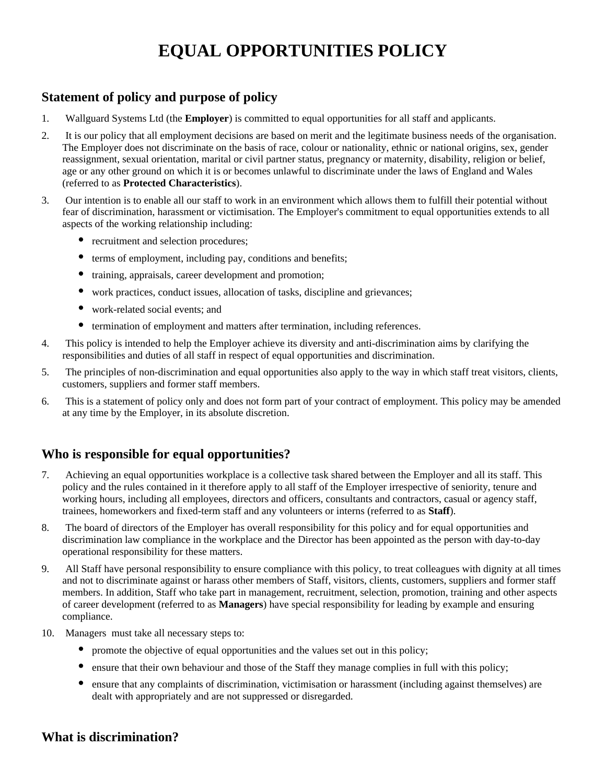# **EQUAL OPPORTUNITIES POLICY**

## **Statement of policy and purpose of policy**

- 1. Wallguard Systems Ltd (the **Employer**) is committed to equal opportunities for all staff and applicants.
- 2. It is our policy that all employment decisions are based on merit and the legitimate business needs of the organisation. The Employer does not discriminate on the basis of race, colour or nationality, ethnic or national origins, sex, gender reassignment, sexual orientation, marital or civil partner status, pregnancy or maternity, disability, religion or belief, age or any other ground on which it is or becomes unlawful to discriminate under the laws of England and Wales (referred to as **Protected Characteristics**).
- 3. Our intention is to enable all our staff to work in an environment which allows them to fulfill their potential without fear of discrimination, harassment or victimisation. The Employer's commitment to equal opportunities extends to all aspects of the working relationship including:
	- recruitment and selection procedures;
	- $\bullet$ terms of employment, including pay, conditions and benefits;
	- $\bullet$ training, appraisals, career development and promotion;
	- $\bullet$ work practices, conduct issues, allocation of tasks, discipline and grievances;
	- $\bullet$ work-related social events; and
	- $\bullet$ termination of employment and matters after termination, including references.
- 4. This policy is intended to help the Employer achieve its diversity and anti-discrimination aims by clarifying the responsibilities and duties of all staff in respect of equal opportunities and discrimination.
- 5. The principles of non-discrimination and equal opportunities also apply to the way in which staff treat visitors, clients, customers, suppliers and former staff members.
- 6. This is a statement of policy only and does not form part of your contract of employment. This policy may be amended at any time by the Employer, in its absolute discretion.

### **Who is responsible for equal opportunities?**

- 7. Achieving an equal opportunities workplace is a collective task shared between the Employer and all its staff. This policy and the rules contained in it therefore apply to all staff of the Employer irrespective of seniority, tenure and working hours, including all employees, directors and officers, consultants and contractors, casual or agency staff, trainees, homeworkers and fixed-term staff and any volunteers or interns (referred to as **Staff**).
- 8. The board of directors of the Employer has overall responsibility for this policy and for equal opportunities and discrimination law compliance in the workplace and the Director has been appointed as the person with day-to-day operational responsibility for these matters.
- 9. All Staff have personal responsibility to ensure compliance with this policy, to treat colleagues with dignity at all times and not to discriminate against or harass other members of Staff, visitors, clients, customers, suppliers and former staff members. In addition, Staff who take part in management, recruitment, selection, promotion, training and other aspects of career development (referred to as **Managers**) have special responsibility for leading by example and ensuring compliance.
- 10. Managers must take all necessary steps to:
	- promote the objective of equal opportunities and the values set out in this policy;
	- $\bullet$ ensure that their own behaviour and those of the Staff they manage complies in full with this policy;
	- $\bullet$ ensure that any complaints of discrimination, victimisation or harassment (including against themselves) are dealt with appropriately and are not suppressed or disregarded.

### **What is discrimination?**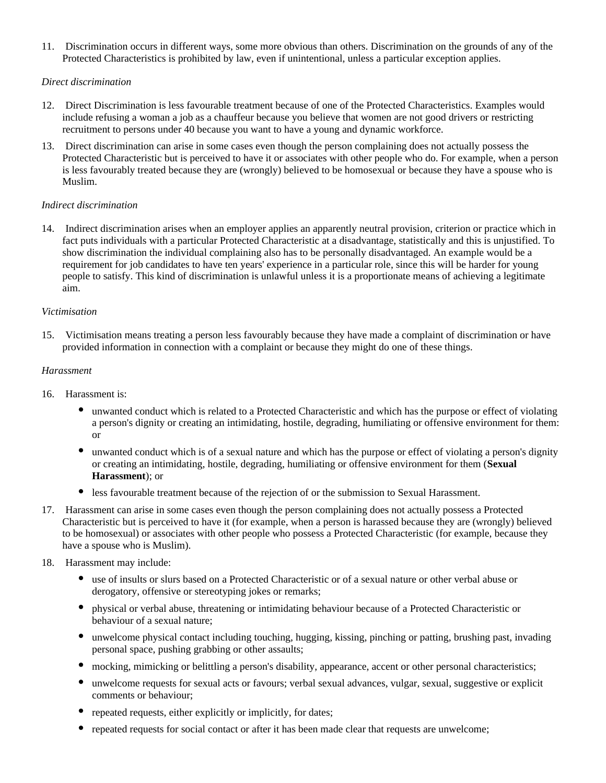11. Discrimination occurs in different ways, some more obvious than others. Discrimination on the grounds of any of the Protected Characteristics is prohibited by law, even if unintentional, unless a particular exception applies.

### *Direct discrimination*

- 12. Direct Discrimination is less favourable treatment because of one of the Protected Characteristics. Examples would include refusing a woman a job as a chauffeur because you believe that women are not good drivers or restricting recruitment to persons under 40 because you want to have a young and dynamic workforce.
- 13. Direct discrimination can arise in some cases even though the person complaining does not actually possess the Protected Characteristic but is perceived to have it or associates with other people who do. For example, when a person is less favourably treated because they are (wrongly) believed to be homosexual or because they have a spouse who is Muslim.

### *Indirect discrimination*

14. Indirect discrimination arises when an employer applies an apparently neutral provision, criterion or practice which in fact puts individuals with a particular Protected Characteristic at a disadvantage, statistically and this is unjustified. To show discrimination the individual complaining also has to be personally disadvantaged. An example would be a requirement for job candidates to have ten years' experience in a particular role, since this will be harder for young people to satisfy. This kind of discrimination is unlawful unless it is a proportionate means of achieving a legitimate aim.

### *Victimisation*

15. Victimisation means treating a person less favourably because they have made a complaint of discrimination or have provided information in connection with a complaint or because they might do one of these things.

### *Harassment*

- 16. Harassment is:
	- unwanted conduct which is related to a Protected Characteristic and which has the purpose or effect of violating a person's dignity or creating an intimidating, hostile, degrading, humiliating or offensive environment for them: or
	- $\bullet$ unwanted conduct which is of a sexual nature and which has the purpose or effect of violating a person's dignity or creating an intimidating, hostile, degrading, humiliating or offensive environment for them (**Sexual Harassment**); or
	- less favourable treatment because of the rejection of or the submission to Sexual Harassment.
- 17. Harassment can arise in some cases even though the person complaining does not actually possess a Protected Characteristic but is perceived to have it (for example, when a person is harassed because they are (wrongly) believed to be homosexual) or associates with other people who possess a Protected Characteristic (for example, because they have a spouse who is Muslim).
- 18. Harassment may include:
	- use of insults or slurs based on a Protected Characteristic or of a sexual nature or other verbal abuse or derogatory, offensive or stereotyping jokes or remarks;
	- physical or verbal abuse, threatening or intimidating behaviour because of a Protected Characteristic or behaviour of a sexual nature;
	- unwelcome physical contact including touching, hugging, kissing, pinching or patting, brushing past, invading personal space, pushing grabbing or other assaults;
	- $\bullet$ mocking, mimicking or belittling a person's disability, appearance, accent or other personal characteristics;
	- $\bullet$ unwelcome requests for sexual acts or favours; verbal sexual advances, vulgar, sexual, suggestive or explicit comments or behaviour;
	- repeated requests, either explicitly or implicitly, for dates;
	- repeated requests for social contact or after it has been made clear that requests are unwelcome;  $\bullet$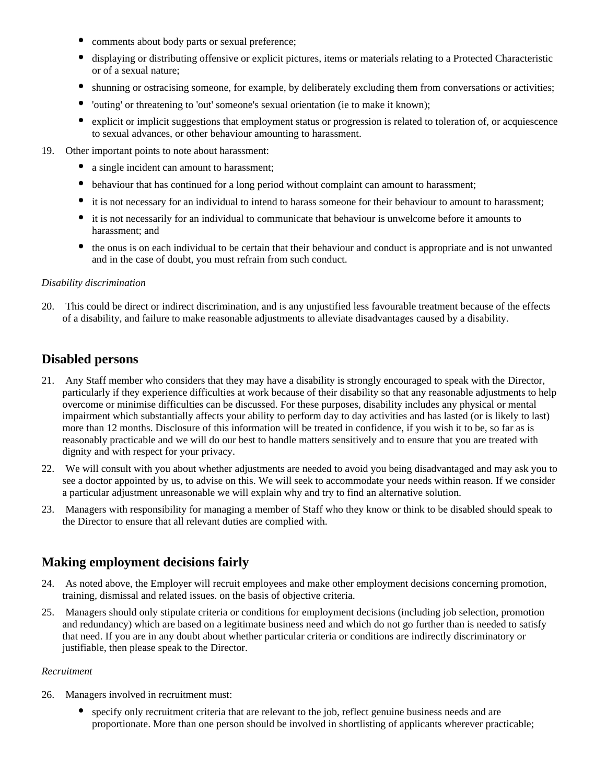- $\bullet$ comments about body parts or sexual preference;
- $\bullet$ displaying or distributing offensive or explicit pictures, items or materials relating to a Protected Characteristic or of a sexual nature;
- $\bullet$ shunning or ostracising someone, for example, by deliberately excluding them from conversations or activities;
- $\bullet$ 'outing' or threatening to 'out' someone's sexual orientation (ie to make it known);
- $\bullet$ explicit or implicit suggestions that employment status or progression is related to toleration of, or acquiescence to sexual advances, or other behaviour amounting to harassment.
- 19. Other important points to note about harassment:
	- a single incident can amount to harassment;
	- $\bullet$ behaviour that has continued for a long period without complaint can amount to harassment;
	- $\bullet$ it is not necessary for an individual to intend to harass someone for their behaviour to amount to harassment;
	- it is not necessarily for an individual to communicate that behaviour is unwelcome before it amounts to harassment; and
	- $\bullet$ the onus is on each individual to be certain that their behaviour and conduct is appropriate and is not unwanted and in the case of doubt, you must refrain from such conduct.

### *Disability discrimination*

20. This could be direct or indirect discrimination, and is any unjustified less favourable treatment because of the effects of a disability, and failure to make reasonable adjustments to alleviate disadvantages caused by a disability.

### **Disabled persons**

- 21. Any Staff member who considers that they may have a disability is strongly encouraged to speak with the Director, particularly if they experience difficulties at work because of their disability so that any reasonable adjustments to help overcome or minimise difficulties can be discussed. For these purposes, disability includes any physical or mental impairment which substantially affects your ability to perform day to day activities and has lasted (or is likely to last) more than 12 months. Disclosure of this information will be treated in confidence, if you wish it to be, so far as is reasonably practicable and we will do our best to handle matters sensitively and to ensure that you are treated with dignity and with respect for your privacy.
- 22. We will consult with you about whether adjustments are needed to avoid you being disadvantaged and may ask you to see a doctor appointed by us, to advise on this. We will seek to accommodate your needs within reason. If we consider a particular adjustment unreasonable we will explain why and try to find an alternative solution.
- 23. Managers with responsibility for managing a member of Staff who they know or think to be disabled should speak to the Director to ensure that all relevant duties are complied with.

### **Making employment decisions fairly**

- 24. As noted above, the Employer will recruit employees and make other employment decisions concerning promotion, training, dismissal and related issues. on the basis of objective criteria.
- 25. Managers should only stipulate criteria or conditions for employment decisions (including job selection, promotion and redundancy) which are based on a legitimate business need and which do not go further than is needed to satisfy that need. If you are in any doubt about whether particular criteria or conditions are indirectly discriminatory or justifiable, then please speak to the Director.

#### *Recruitment*

- 26. Managers involved in recruitment must:
	- $\bullet$ specify only recruitment criteria that are relevant to the job, reflect genuine business needs and are proportionate. More than one person should be involved in shortlisting of applicants wherever practicable;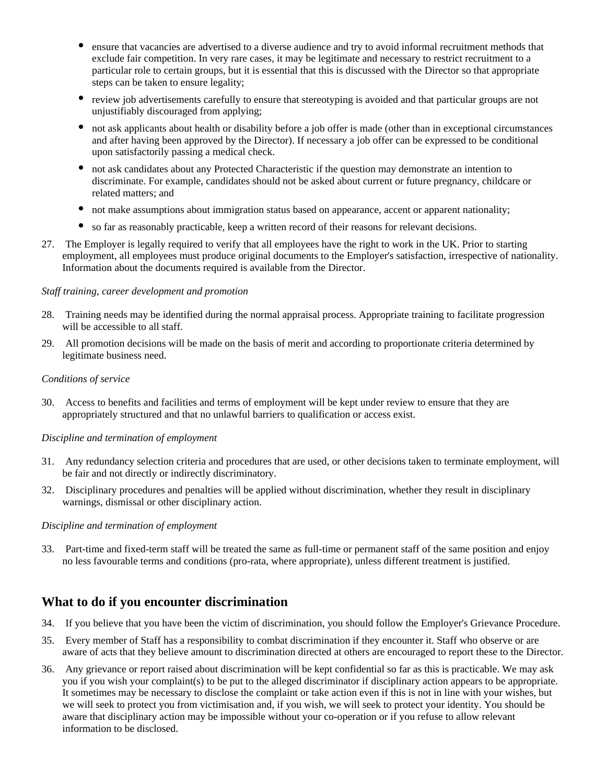- ensure that vacancies are advertised to a diverse audience and try to avoid informal recruitment methods that exclude fair competition. In very rare cases, it may be legitimate and necessary to restrict recruitment to a particular role to certain groups, but it is essential that this is discussed with the Director so that appropriate steps can be taken to ensure legality;
- $\bullet$ review job advertisements carefully to ensure that stereotyping is avoided and that particular groups are not unjustifiably discouraged from applying;
- $\bullet$ not ask applicants about health or disability before a job offer is made (other than in exceptional circumstances and after having been approved by the Director). If necessary a job offer can be expressed to be conditional upon satisfactorily passing a medical check.
- $\bullet$ not ask candidates about any Protected Characteristic if the question may demonstrate an intention to discriminate. For example, candidates should not be asked about current or future pregnancy, childcare or related matters; and
- $\bullet$ not make assumptions about immigration status based on appearance, accent or apparent nationality;
- so far as reasonably practicable, keep a written record of their reasons for relevant decisions.
- 27. The Employer is legally required to verify that all employees have the right to work in the UK. Prior to starting employment, all employees must produce original documents to the Employer's satisfaction, irrespective of nationality. Information about the documents required is available from the Director.

### *Staff training, career development and promotion*

- 28. Training needs may be identified during the normal appraisal process. Appropriate training to facilitate progression will be accessible to all staff.
- 29. All promotion decisions will be made on the basis of merit and according to proportionate criteria determined by legitimate business need.

#### *Conditions of service*

30. Access to benefits and facilities and terms of employment will be kept under review to ensure that they are appropriately structured and that no unlawful barriers to qualification or access exist.

### *Discipline and termination of employment*

- 31. Any redundancy selection criteria and procedures that are used, or other decisions taken to terminate employment, will be fair and not directly or indirectly discriminatory.
- 32. Disciplinary procedures and penalties will be applied without discrimination, whether they result in disciplinary warnings, dismissal or other disciplinary action.

#### *Discipline and termination of employment*

33. Part-time and fixed-term staff will be treated the same as full-time or permanent staff of the same position and enjoy no less favourable terms and conditions (pro-rata, where appropriate), unless different treatment is justified.

### **What to do if you encounter discrimination**

- 34. If you believe that you have been the victim of discrimination, you should follow the Employer's Grievance Procedure.
- 35. Every member of Staff has a responsibility to combat discrimination if they encounter it. Staff who observe or are aware of acts that they believe amount to discrimination directed at others are encouraged to report these to the Director.
- 36. Any grievance or report raised about discrimination will be kept confidential so far as this is practicable. We may ask you if you wish your complaint(s) to be put to the alleged discriminator if disciplinary action appears to be appropriate. It sometimes may be necessary to disclose the complaint or take action even if this is not in line with your wishes, but we will seek to protect you from victimisation and, if you wish, we will seek to protect your identity. You should be aware that disciplinary action may be impossible without your co-operation or if you refuse to allow relevant information to be disclosed.